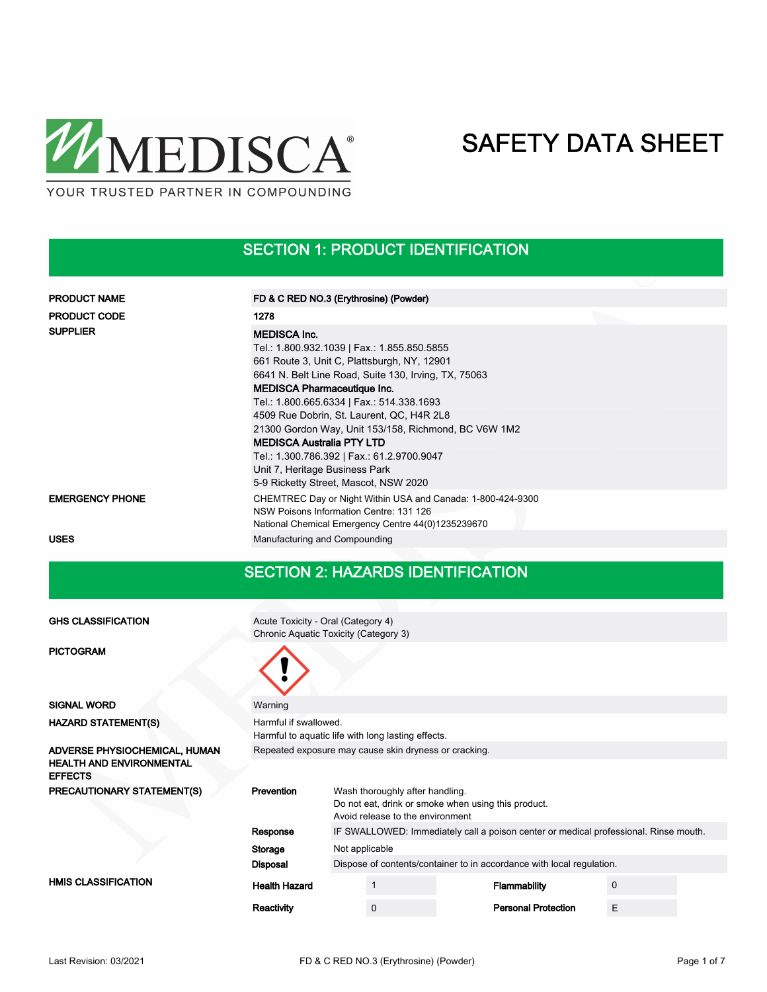

### SECTION 1: PRODUCT IDENTIFICATION

| <b>PRODUCT NAME</b>    | FD & C RED NO.3 (Erythrosine) (Powder)                                                                                                                                                                                                                                                                                                                                                                                                                                                |  |
|------------------------|---------------------------------------------------------------------------------------------------------------------------------------------------------------------------------------------------------------------------------------------------------------------------------------------------------------------------------------------------------------------------------------------------------------------------------------------------------------------------------------|--|
| <b>PRODUCT CODE</b>    | 1278                                                                                                                                                                                                                                                                                                                                                                                                                                                                                  |  |
| <b>SUPPLIER</b>        | <b>MEDISCA Inc.</b><br>Tel.: 1.800.932.1039   Fax.: 1.855.850.5855<br>661 Route 3, Unit C, Plattsburgh, NY, 12901<br>6641 N. Belt Line Road, Suite 130, Irving, TX, 75063<br><b>MEDISCA Pharmaceutique Inc.</b><br>Tel.: 1.800.665.6334   Fax.: 514.338.1693<br>4509 Rue Dobrin, St. Laurent, QC, H4R 2L8<br>21300 Gordon Way, Unit 153/158, Richmond, BC V6W 1M2<br><b>MEDISCA Australia PTY LTD</b><br>Tel.: 1.300.786.392   Fax.: 61.2.9700.9047<br>Unit 7, Heritage Business Park |  |
|                        | 5-9 Ricketty Street, Mascot, NSW 2020                                                                                                                                                                                                                                                                                                                                                                                                                                                 |  |
| <b>EMERGENCY PHONE</b> | CHEMTREC Day or Night Within USA and Canada: 1-800-424-9300<br>NSW Poisons Information Centre: 131 126<br>National Chemical Emergency Centre 44(0)1235239670                                                                                                                                                                                                                                                                                                                          |  |
| <b>USES</b>            | Manufacturing and Compounding                                                                                                                                                                                                                                                                                                                                                                                                                                                         |  |

#### SECTION 2: HAZARDS IDENTIFICATION

| <b>GHS CLASSIFICATION</b>                         | Acute Toxicity - Oral (Category 4)                                          |                                                                                         |                                 |  |                                                                                      |   |  |
|---------------------------------------------------|-----------------------------------------------------------------------------|-----------------------------------------------------------------------------------------|---------------------------------|--|--------------------------------------------------------------------------------------|---|--|
|                                                   | Chronic Aquatic Toxicity (Category 3)                                       |                                                                                         |                                 |  |                                                                                      |   |  |
| <b>PICTOGRAM</b>                                  |                                                                             |                                                                                         |                                 |  |                                                                                      |   |  |
| <b>SIGNAL WORD</b>                                | Warning                                                                     |                                                                                         |                                 |  |                                                                                      |   |  |
| <b>HAZARD STATEMENT(S)</b>                        | Harmful if swallowed.<br>Harmful to aquatic life with long lasting effects. |                                                                                         |                                 |  |                                                                                      |   |  |
| ADVERSE PHYSIOCHEMICAL, HUMAN                     | Repeated exposure may cause skin dryness or cracking.                       |                                                                                         |                                 |  |                                                                                      |   |  |
| <b>HEALTH AND ENVIRONMENTAL</b><br><b>EFFECTS</b> |                                                                             |                                                                                         |                                 |  |                                                                                      |   |  |
| PRECAUTIONARY STATEMENT(S)                        | Prevention                                                                  |                                                                                         | Wash thoroughly after handling. |  |                                                                                      |   |  |
|                                                   |                                                                             | Do not eat, drink or smoke when using this product.<br>Avoid release to the environment |                                 |  |                                                                                      |   |  |
|                                                   | Response                                                                    |                                                                                         |                                 |  | IF SWALLOWED: Immediately call a poison center or medical professional. Rinse mouth. |   |  |
|                                                   | Storage                                                                     | Not applicable                                                                          |                                 |  |                                                                                      |   |  |
|                                                   | <b>Disposal</b>                                                             |                                                                                         |                                 |  | Dispose of contents/container to in accordance with local regulation.                |   |  |
| <b>HMIS CLASSIFICATION</b>                        | <b>Health Hazard</b>                                                        |                                                                                         |                                 |  | Flammability                                                                         | 0 |  |
|                                                   | Reactivity                                                                  |                                                                                         | $\mathbf 0$                     |  | <b>Personal Protection</b>                                                           | E |  |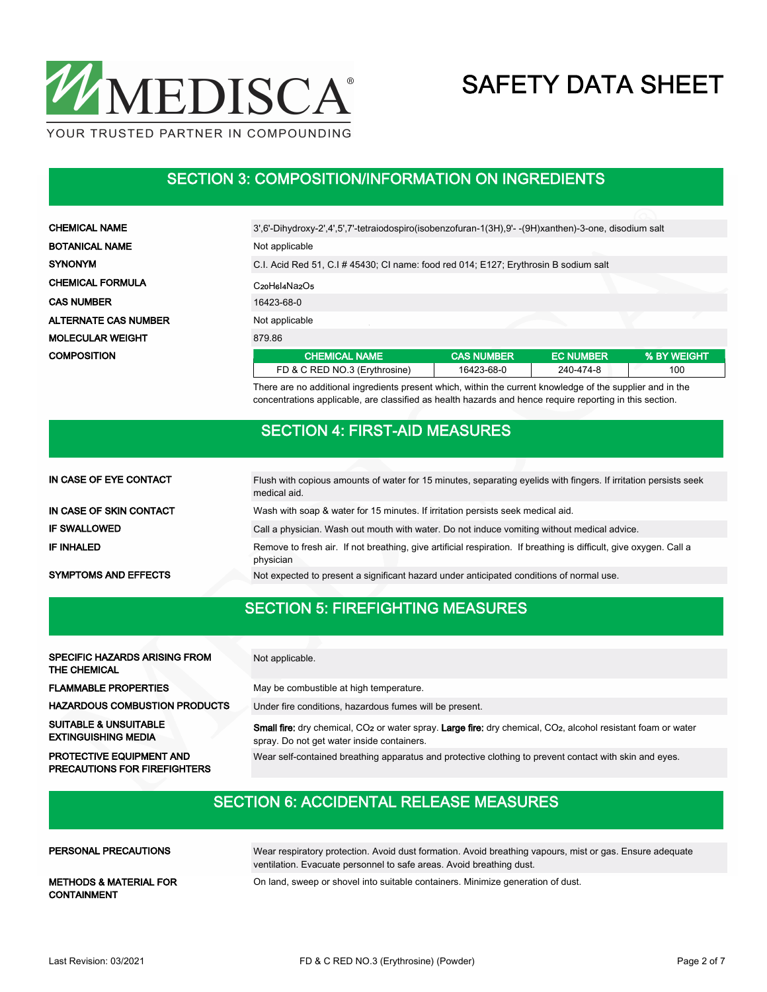

#### SECTION 3: COMPOSITION/INFORMATION ON INGREDIENTS

| <b>CHEMICAL NAME</b>        | 3',6'-Dihydroxy-2',4',5',7'-tetraiodospiro(isobenzofuran-1(3H),9'--(9H)xanthen)-3-one, disodium salt      |                         |                  |             |  |  |  |  |  |
|-----------------------------|-----------------------------------------------------------------------------------------------------------|-------------------------|------------------|-------------|--|--|--|--|--|
| <b>BOTANICAL NAME</b>       | Not applicable                                                                                            |                         |                  |             |  |  |  |  |  |
| <b>SYNONYM</b>              | C.I. Acid Red 51, C.I # 45430; CI name: food red 014; E127; Erythrosin B sodium salt                      |                         |                  |             |  |  |  |  |  |
| <b>CHEMICAL FORMULA</b>     | C <sub>20</sub> H <sub>Bl4</sub> Na <sub>2</sub> O <sub>5</sub>                                           |                         |                  |             |  |  |  |  |  |
| <b>CAS NUMBER</b>           | 16423-68-0                                                                                                |                         |                  |             |  |  |  |  |  |
| <b>ALTERNATE CAS NUMBER</b> | Not applicable                                                                                            |                         |                  |             |  |  |  |  |  |
| <b>MOLECULAR WEIGHT</b>     | 879.86                                                                                                    |                         |                  |             |  |  |  |  |  |
| <b>COMPOSITION</b>          | <b>CHEMICAL NAME</b>                                                                                      | <b>CAS NUMBER</b>       | <b>EC NUMBER</b> | % BY WEIGHT |  |  |  |  |  |
|                             | FD & C RED NO.3 (Erythrosine)                                                                             | 16423-68-0<br>240-474-8 |                  |             |  |  |  |  |  |
|                             | There are no additional ingradiante present which within the qurrent knowledge of the quantier and in the |                         |                  |             |  |  |  |  |  |

There are no additional ingredients present which, within the current knowledge of the supplier and in the concentrations applicable, are classified as health hazards and hence require reporting in this section.

#### SECTION 4: FIRST-AID MEASURES

| IN CASE OF EYE CONTACT      | Flush with copious amounts of water for 15 minutes, separating eyelids with fingers. If irritation persists seek<br>medical aid. |
|-----------------------------|----------------------------------------------------------------------------------------------------------------------------------|
| IN CASE OF SKIN CONTACT     | Wash with soap & water for 15 minutes. If irritation persists seek medical aid.                                                  |
| <b>IF SWALLOWED</b>         | Call a physician. Wash out mouth with water. Do not induce vomiting without medical advice.                                      |
| <b>IF INHALED</b>           | Remove to fresh air. If not breathing, give artificial respiration. If breathing is difficult, give oxygen. Call a<br>physician  |
| <b>SYMPTOMS AND EFFECTS</b> | Not expected to present a significant hazard under anticipated conditions of normal use.                                         |

### SECTION 5: FIREFIGHTING MEASURES

| SPECIFIC HAZARDS ARISING FROM<br>THE CHEMICAL                          | Not applicable.                                                                                                                                                                     |
|------------------------------------------------------------------------|-------------------------------------------------------------------------------------------------------------------------------------------------------------------------------------|
| <b>FLAMMABLE PROPERTIES</b>                                            | May be combustible at high temperature.                                                                                                                                             |
| <b>HAZARDOUS COMBUSTION PRODUCTS</b>                                   | Under fire conditions, hazardous fumes will be present.                                                                                                                             |
| <b>SUITABLE &amp; UNSUITABLE</b><br><b>EXTINGUISHING MEDIA</b>         | Small fire: dry chemical, CO <sub>2</sub> or water spray. Large fire: dry chemical, CO <sub>2</sub> , alcohol resistant foam or water<br>spray. Do not get water inside containers. |
| <b>PROTECTIVE EQUIPMENT AND</b><br><b>PRECAUTIONS FOR FIREFIGHTERS</b> | Wear self-contained breathing apparatus and protective clothing to prevent contact with skin and eyes.                                                                              |

### SECTION 6: ACCIDENTAL RELEASE MEASURES

| PERSONAL PRECAUTIONS                                    | Wear respiratory protection. Avoid dust formation. Avoid breathing vapours, mist or gas. Ensure adequate<br>ventilation. Evacuate personnel to safe areas. Avoid breathing dust. |
|---------------------------------------------------------|----------------------------------------------------------------------------------------------------------------------------------------------------------------------------------|
| <b>METHODS &amp; MATERIAL FOR</b><br><b>CONTAINMENT</b> | On land, sweep or shovel into suitable containers. Minimize generation of dust.                                                                                                  |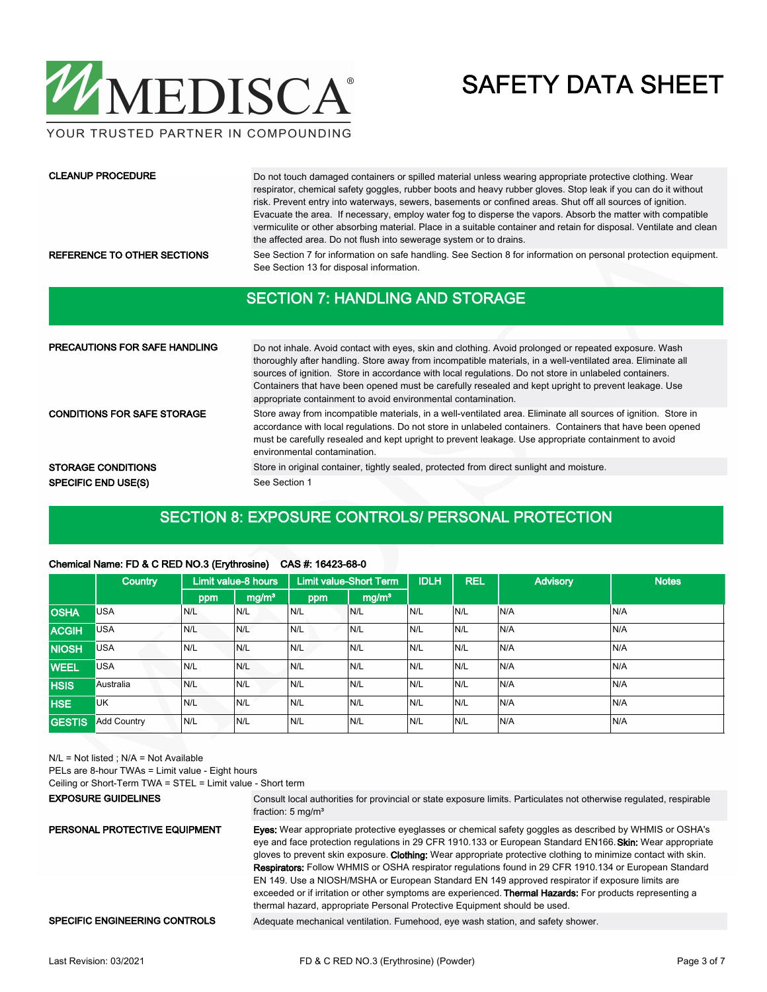

YOUR TRUSTED PARTNER IN COMPOUNDING

#### CLEANUP PROCEDURE

Do not touch damaged containers or spilled material unless wearing appropriate protective clothing. Wear respirator, chemical safety goggles, rubber boots and heavy rubber gloves. Stop leak if you can do it without risk. Prevent entry into waterways, sewers, basements or confined areas. Shut off all sources of ignition. Evacuate the area. If necessary, employ water fog to disperse the vapors. Absorb the matter with compatible vermiculite or other absorbing material. Place in a suitable container and retain for disposal. Ventilate and clean the affected area. Do not flush into sewerage system or to drains.

REFERENCE TO OTHER SECTIONS See Section 7 for information on safe handling. See Section 8 for information on personal protection equipment. See Section 13 for disposal information.

#### SECTION 7: HANDLING AND STORAGE

| <b>PRECAUTIONS FOR SAFE HANDLING</b> | Do not inhale. Avoid contact with eyes, skin and clothing. Avoid prolonged or repeated exposure. Wash<br>thoroughly after handling. Store away from incompatible materials, in a well-ventilated area. Eliminate all<br>sources of ignition. Store in accordance with local regulations. Do not store in unlabeled containers.<br>Containers that have been opened must be carefully resealed and kept upright to prevent leakage. Use<br>appropriate containment to avoid environmental contamination. |  |  |  |  |
|--------------------------------------|---------------------------------------------------------------------------------------------------------------------------------------------------------------------------------------------------------------------------------------------------------------------------------------------------------------------------------------------------------------------------------------------------------------------------------------------------------------------------------------------------------|--|--|--|--|
| <b>CONDITIONS FOR SAFE STORAGE</b>   | Store away from incompatible materials, in a well-ventilated area. Eliminate all sources of ignition. Store in<br>accordance with local regulations. Do not store in unlabeled containers. Containers that have been opened<br>must be carefully resealed and kept upright to prevent leakage. Use appropriate containment to avoid<br>environmental contamination.                                                                                                                                     |  |  |  |  |
| <b>STORAGE CONDITIONS</b>            | Store in original container, tightly sealed, protected from direct sunlight and moisture.                                                                                                                                                                                                                                                                                                                                                                                                               |  |  |  |  |
| <b>SPECIFIC END USE(S)</b>           | See Section 1                                                                                                                                                                                                                                                                                                                                                                                                                                                                                           |  |  |  |  |

#### SECTION 8: EXPOSURE CONTROLS/ PERSONAL PROTECTION

|               | $\sim$ $\sim$ $\sim$ $\sim$ $\sim$ $\sim$ $\sim$ |                     |                   |                               |                   |             |            |                 |              |
|---------------|--------------------------------------------------|---------------------|-------------------|-------------------------------|-------------------|-------------|------------|-----------------|--------------|
|               | <b>Country</b>                                   | Limit value-8 hours |                   | <b>Limit value-Short Term</b> |                   | <b>IDLH</b> | <b>REL</b> | <b>Advisory</b> | <b>Notes</b> |
|               |                                                  | ppm                 | mg/m <sup>3</sup> | ppm                           | mg/m <sup>3</sup> |             |            |                 |              |
| <b>OSHA</b>   | <b>USA</b>                                       | N/L                 | N/L               | IN/L                          | N/L               | IN/L        | N/L        | N/A             | N/A          |
| <b>ACGIH</b>  | <b>USA</b>                                       | N/L                 | N/L               | N/L                           | N/L               | N/L         | N/L        | N/A             | N/A          |
| <b>NIOSH</b>  | <b>USA</b>                                       | N/L                 | N/L               | N/L                           | N/L               | IN/L        | N/L        | N/A             | N/A          |
| <b>WEEL</b>   | <b>USA</b>                                       | N/L                 | N/L               | N/L                           | N/L               | IN/L        | N/L        | N/A             | N/A          |
| <b>HSIS</b>   | Australia                                        | N/L                 | N/L               | N/L                           | N/L               | N/L         | N/L        | N/A             | N/A          |
| <b>HSE</b>    | <b>UK</b>                                        | N/L                 | N/L               | N/L                           | N/L               | IN/L        | N/L        | N/A             | N/A          |
| <b>GESTIS</b> | <b>Add Country</b>                               | N/L                 | N/L               | N/L                           | N/L               | N/L         | N/L        | N/A             | N/A          |

#### Chemical Name: FD & C RED NO.3 (Erythrosine) CAS #: 16423-68-0

N/L = Not listed ; N/A = Not Available

PELs are 8-hour TWAs = Limit value - Eight hours

Ceiling or Short-Term TWA = STEL = Limit value - Short term

#### EXPOSURE GUIDELINES

Consult local authorities for provincial or state exposure limits. Particulates not otherwise regulated, respirable fraction: 5 mg/m<sup>3</sup>

Eyes: Wear appropriate protective eyeglasses or chemical safety goggles as described by WHMIS or OSHA's eye and face protection regulations in 29 CFR 1910.133 or European Standard EN166. Skin: Wear appropriate gloves to prevent skin exposure. Clothing: Wear appropriate protective clothing to minimize contact with skin. Respirators: Follow WHMIS or OSHA respirator regulations found in 29 CFR 1910.134 or European Standard EN 149. Use a NIOSH/MSHA or European Standard EN 149 approved respirator if exposure limits are exceeded or if irritation or other symptoms are experienced. Thermal Hazards: For products representing a thermal hazard, appropriate Personal Protective Equipment should be used. PERSONAL PROTECTIVE EQUIPMENT

SPECIFIC ENGINEERING CONTROLS Adequate mechanical ventilation. Fumehood, eye wash station, and safety shower.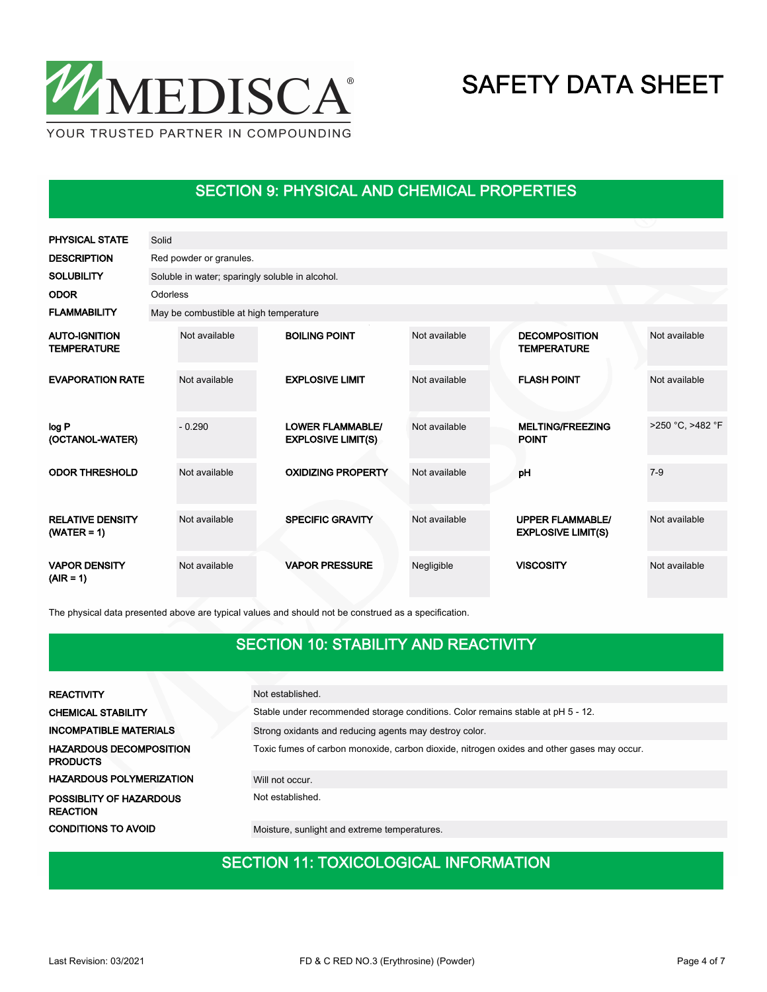

### SECTION 9: PHYSICAL AND CHEMICAL PROPERTIES

| <b>PHYSICAL STATE</b>                      | Solid    |                                                 |  |                                                      |               |  |                                                      |                  |  |  |  |  |
|--------------------------------------------|----------|-------------------------------------------------|--|------------------------------------------------------|---------------|--|------------------------------------------------------|------------------|--|--|--|--|
| <b>DESCRIPTION</b>                         |          | Red powder or granules.                         |  |                                                      |               |  |                                                      |                  |  |  |  |  |
| <b>SOLUBILITY</b>                          |          | Soluble in water; sparingly soluble in alcohol. |  |                                                      |               |  |                                                      |                  |  |  |  |  |
| <b>ODOR</b>                                | Odorless |                                                 |  |                                                      |               |  |                                                      |                  |  |  |  |  |
| <b>FLAMMABILITY</b>                        |          | May be combustible at high temperature          |  |                                                      |               |  |                                                      |                  |  |  |  |  |
| <b>AUTO-IGNITION</b><br><b>TEMPERATURE</b> |          | Not available                                   |  | <b>BOILING POINT</b>                                 | Not available |  | <b>DECOMPOSITION</b><br><b>TEMPERATURE</b>           | Not available    |  |  |  |  |
| <b>EVAPORATION RATE</b>                    |          | Not available                                   |  | <b>EXPLOSIVE LIMIT</b>                               | Not available |  | <b>FLASH POINT</b>                                   | Not available    |  |  |  |  |
| log P<br>(OCTANOL-WATER)                   |          | $-0.290$                                        |  | <b>LOWER FLAMMABLE/</b><br><b>EXPLOSIVE LIMIT(S)</b> | Not available |  | <b>MELTING/FREEZING</b><br><b>POINT</b>              | >250 °C, >482 °F |  |  |  |  |
| <b>ODOR THRESHOLD</b>                      |          | Not available                                   |  | <b>OXIDIZING PROPERTY</b>                            | Not available |  | pH                                                   | $7 - 9$          |  |  |  |  |
| <b>RELATIVE DENSITY</b><br>$(WATER = 1)$   |          | Not available                                   |  | <b>SPECIFIC GRAVITY</b>                              | Not available |  | <b>UPPER FLAMMABLE/</b><br><b>EXPLOSIVE LIMIT(S)</b> | Not available    |  |  |  |  |
| <b>VAPOR DENSITY</b><br>$(AIR = 1)$        |          | Not available                                   |  | <b>VAPOR PRESSURE</b>                                | Negligible    |  | <b>VISCOSITY</b>                                     | Not available    |  |  |  |  |

The physical data presented above are typical values and should not be construed as a specification.

### SECTION 10: STABILITY AND REACTIVITY

| <b>REACTIVITY</b>                                 | Not established.                                                                           |
|---------------------------------------------------|--------------------------------------------------------------------------------------------|
| <b>CHEMICAL STABILITY</b>                         | Stable under recommended storage conditions. Color remains stable at pH 5 - 12.            |
| <b>INCOMPATIBLE MATERIALS</b>                     | Strong oxidants and reducing agents may destroy color.                                     |
| <b>HAZARDOUS DECOMPOSITION</b><br><b>PRODUCTS</b> | Toxic fumes of carbon monoxide, carbon dioxide, nitrogen oxides and other gases may occur. |
| <b>HAZARDOUS POLYMERIZATION</b>                   | Will not occur.                                                                            |
| POSSIBLITY OF HAZARDOUS<br><b>REACTION</b>        | Not established.                                                                           |
| <b>CONDITIONS TO AVOID</b>                        | Moisture, sunlight and extreme temperatures.                                               |

#### SECTION 11: TOXICOLOGICAL INFORMATION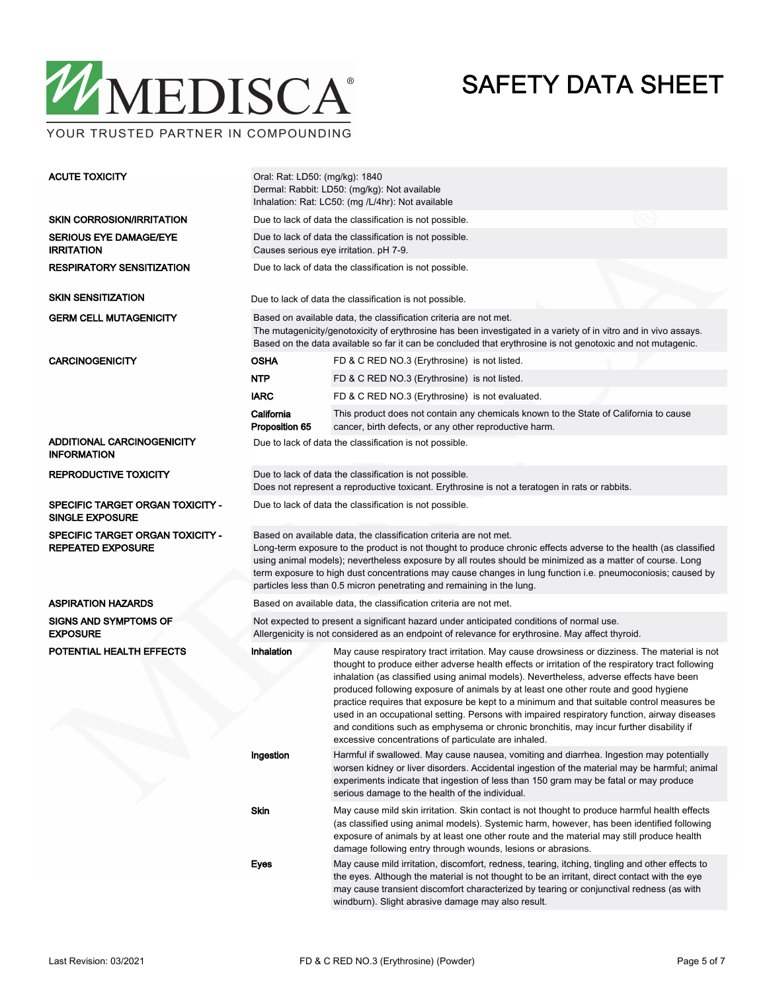

YOUR TRUSTED PARTNER IN COMPOUNDING

| <b>ACUTE TOXICITY</b>                                        | Oral: Rat: LD50: (mg/kg): 1840<br>Dermal: Rabbit: LD50: (mg/kg): Not available<br>Inhalation: Rat: LC50: (mg /L/4hr): Not available                                                                                                                                                                                                                                                                                                                                                        |                                                                                                                                                                                                                                                                                                                                                                                                                                                                                                                                                                                                                                                                                                                                        |  |  |  |  |  |  |
|--------------------------------------------------------------|--------------------------------------------------------------------------------------------------------------------------------------------------------------------------------------------------------------------------------------------------------------------------------------------------------------------------------------------------------------------------------------------------------------------------------------------------------------------------------------------|----------------------------------------------------------------------------------------------------------------------------------------------------------------------------------------------------------------------------------------------------------------------------------------------------------------------------------------------------------------------------------------------------------------------------------------------------------------------------------------------------------------------------------------------------------------------------------------------------------------------------------------------------------------------------------------------------------------------------------------|--|--|--|--|--|--|
| <b>SKIN CORROSION/IRRITATION</b>                             | Due to lack of data the classification is not possible.                                                                                                                                                                                                                                                                                                                                                                                                                                    |                                                                                                                                                                                                                                                                                                                                                                                                                                                                                                                                                                                                                                                                                                                                        |  |  |  |  |  |  |
| <b>SERIOUS EYE DAMAGE/EYE</b><br><b>IRRITATION</b>           | Due to lack of data the classification is not possible.<br>Causes serious eye irritation. pH 7-9.                                                                                                                                                                                                                                                                                                                                                                                          |                                                                                                                                                                                                                                                                                                                                                                                                                                                                                                                                                                                                                                                                                                                                        |  |  |  |  |  |  |
| <b>RESPIRATORY SENSITIZATION</b>                             | Due to lack of data the classification is not possible.                                                                                                                                                                                                                                                                                                                                                                                                                                    |                                                                                                                                                                                                                                                                                                                                                                                                                                                                                                                                                                                                                                                                                                                                        |  |  |  |  |  |  |
| <b>SKIN SENSITIZATION</b>                                    | Due to lack of data the classification is not possible.                                                                                                                                                                                                                                                                                                                                                                                                                                    |                                                                                                                                                                                                                                                                                                                                                                                                                                                                                                                                                                                                                                                                                                                                        |  |  |  |  |  |  |
| <b>GERM CELL MUTAGENICITY</b>                                |                                                                                                                                                                                                                                                                                                                                                                                                                                                                                            | Based on available data, the classification criteria are not met.<br>The mutagenicity/genotoxicity of erythrosine has been investigated in a variety of in vitro and in vivo assays.<br>Based on the data available so far it can be concluded that erythrosine is not genotoxic and not mutagenic.                                                                                                                                                                                                                                                                                                                                                                                                                                    |  |  |  |  |  |  |
| <b>CARCINOGENICITY</b>                                       | <b>OSHA</b>                                                                                                                                                                                                                                                                                                                                                                                                                                                                                | FD & C RED NO.3 (Erythrosine) is not listed.                                                                                                                                                                                                                                                                                                                                                                                                                                                                                                                                                                                                                                                                                           |  |  |  |  |  |  |
|                                                              | <b>NTP</b>                                                                                                                                                                                                                                                                                                                                                                                                                                                                                 | FD & C RED NO.3 (Erythrosine) is not listed.                                                                                                                                                                                                                                                                                                                                                                                                                                                                                                                                                                                                                                                                                           |  |  |  |  |  |  |
|                                                              | <b>IARC</b>                                                                                                                                                                                                                                                                                                                                                                                                                                                                                | FD & C RED NO.3 (Erythrosine) is not evaluated.                                                                                                                                                                                                                                                                                                                                                                                                                                                                                                                                                                                                                                                                                        |  |  |  |  |  |  |
|                                                              | California<br>Proposition 65                                                                                                                                                                                                                                                                                                                                                                                                                                                               | This product does not contain any chemicals known to the State of California to cause<br>cancer, birth defects, or any other reproductive harm.                                                                                                                                                                                                                                                                                                                                                                                                                                                                                                                                                                                        |  |  |  |  |  |  |
| ADDITIONAL CARCINOGENICITY<br><b>INFORMATION</b>             |                                                                                                                                                                                                                                                                                                                                                                                                                                                                                            | Due to lack of data the classification is not possible.                                                                                                                                                                                                                                                                                                                                                                                                                                                                                                                                                                                                                                                                                |  |  |  |  |  |  |
| <b>REPRODUCTIVE TOXICITY</b>                                 | Due to lack of data the classification is not possible.<br>Does not represent a reproductive toxicant. Erythrosine is not a teratogen in rats or rabbits.                                                                                                                                                                                                                                                                                                                                  |                                                                                                                                                                                                                                                                                                                                                                                                                                                                                                                                                                                                                                                                                                                                        |  |  |  |  |  |  |
| SPECIFIC TARGET ORGAN TOXICITY -<br><b>SINGLE EXPOSURE</b>   | Due to lack of data the classification is not possible.                                                                                                                                                                                                                                                                                                                                                                                                                                    |                                                                                                                                                                                                                                                                                                                                                                                                                                                                                                                                                                                                                                                                                                                                        |  |  |  |  |  |  |
| SPECIFIC TARGET ORGAN TOXICITY -<br><b>REPEATED EXPOSURE</b> | Based on available data, the classification criteria are not met.<br>Long-term exposure to the product is not thought to produce chronic effects adverse to the health (as classified<br>using animal models); nevertheless exposure by all routes should be minimized as a matter of course. Long<br>term exposure to high dust concentrations may cause changes in lung function i.e. pneumoconiosis; caused by<br>particles less than 0.5 micron penetrating and remaining in the lung. |                                                                                                                                                                                                                                                                                                                                                                                                                                                                                                                                                                                                                                                                                                                                        |  |  |  |  |  |  |
| <b>ASPIRATION HAZARDS</b>                                    | Based on available data, the classification criteria are not met.                                                                                                                                                                                                                                                                                                                                                                                                                          |                                                                                                                                                                                                                                                                                                                                                                                                                                                                                                                                                                                                                                                                                                                                        |  |  |  |  |  |  |
| <b>SIGNS AND SYMPTOMS OF</b><br><b>EXPOSURE</b>              | Not expected to present a significant hazard under anticipated conditions of normal use.<br>Allergenicity is not considered as an endpoint of relevance for erythrosine. May affect thyroid.                                                                                                                                                                                                                                                                                               |                                                                                                                                                                                                                                                                                                                                                                                                                                                                                                                                                                                                                                                                                                                                        |  |  |  |  |  |  |
| POTENTIAL HEALTH EFFECTS                                     | Inhalation                                                                                                                                                                                                                                                                                                                                                                                                                                                                                 | May cause respiratory tract irritation. May cause drowsiness or dizziness. The material is not<br>thought to produce either adverse health effects or irritation of the respiratory tract following<br>inhalation (as classified using animal models). Nevertheless, adverse effects have been<br>produced following exposure of animals by at least one other route and good hygiene<br>practice requires that exposure be kept to a minimum and that suitable control measures be<br>used in an occupational setting. Persons with impaired respiratory function, airway diseases<br>and conditions such as emphysema or chronic bronchitis, may incur further disability if<br>excessive concentrations of particulate are inhaled. |  |  |  |  |  |  |
|                                                              | Ingestion                                                                                                                                                                                                                                                                                                                                                                                                                                                                                  | Harmful if swallowed. May cause nausea, vomiting and diarrhea. Ingestion may potentially<br>worsen kidney or liver disorders. Accidental ingestion of the material may be harmful; animal<br>experiments indicate that ingestion of less than 150 gram may be fatal or may produce<br>serious damage to the health of the individual.                                                                                                                                                                                                                                                                                                                                                                                                  |  |  |  |  |  |  |
|                                                              | Skin                                                                                                                                                                                                                                                                                                                                                                                                                                                                                       | May cause mild skin irritation. Skin contact is not thought to produce harmful health effects<br>(as classified using animal models). Systemic harm, however, has been identified following<br>exposure of animals by at least one other route and the material may still produce health<br>damage following entry through wounds, lesions or abrasions.                                                                                                                                                                                                                                                                                                                                                                               |  |  |  |  |  |  |
|                                                              | Eyes                                                                                                                                                                                                                                                                                                                                                                                                                                                                                       | May cause mild irritation, discomfort, redness, tearing, itching, tingling and other effects to<br>the eyes. Although the material is not thought to be an irritant, direct contact with the eye<br>may cause transient discomfort characterized by tearing or conjunctival redness (as with<br>windburn). Slight abrasive damage may also result.                                                                                                                                                                                                                                                                                                                                                                                     |  |  |  |  |  |  |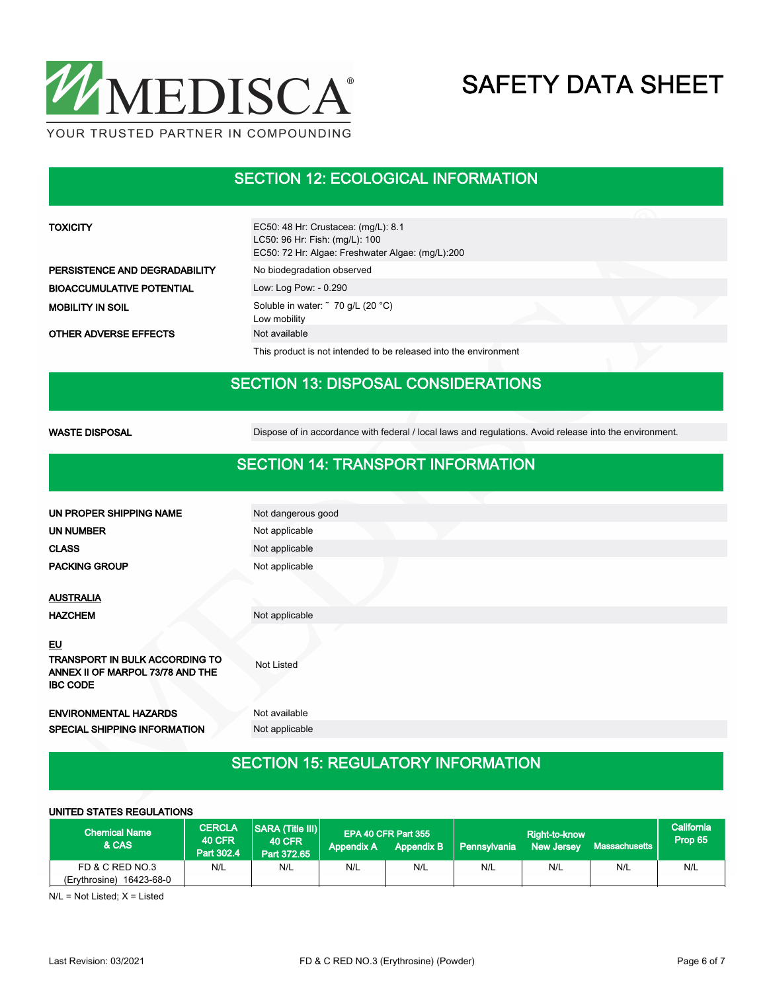

### SECTION 12: ECOLOGICAL INFORMATION

| <b>TOXICITY</b>                  | EC50: 48 Hr: Crustacea: (mg/L): 8.1<br>LC50: 96 Hr: Fish: (mg/L): 100<br>EC50: 72 Hr: Algae: Freshwater Algae: (mg/L):200 |  |  |  |  |  |  |  |  |
|----------------------------------|---------------------------------------------------------------------------------------------------------------------------|--|--|--|--|--|--|--|--|
| PERSISTENCE AND DEGRADABILITY    | No biodegradation observed                                                                                                |  |  |  |  |  |  |  |  |
| <b>BIOACCUMULATIVE POTENTIAL</b> | Low: Log Pow: - 0.290                                                                                                     |  |  |  |  |  |  |  |  |
| <b>MOBILITY IN SOIL</b>          | Soluble in water: ~ 70 g/L (20 °C)<br>Low mobility                                                                        |  |  |  |  |  |  |  |  |
| <b>OTHER ADVERSE EFFECTS</b>     | Not available                                                                                                             |  |  |  |  |  |  |  |  |
|                                  | This product is not intended to be released into the environment                                                          |  |  |  |  |  |  |  |  |
|                                  | <b>SECTION 13: DISPOSAL CONSIDERATIONS</b>                                                                                |  |  |  |  |  |  |  |  |
| <b>WASTE DISPOSAL</b>            | Dispose of in accordance with federal / local laws and regulations. Avoid release into the environment.                   |  |  |  |  |  |  |  |  |
|                                  | <b>SECTION 14: TRANSPORT INFORMATION</b>                                                                                  |  |  |  |  |  |  |  |  |
| I IN PROPER SHIPPING NAME        | Not dangerous good                                                                                                        |  |  |  |  |  |  |  |  |
|                                  |                                                                                                                           |  |  |  |  |  |  |  |  |

| UN PROPER SHIPPING NAME                                                               | Not dangerous good |
|---------------------------------------------------------------------------------------|--------------------|
| UN NUMBER                                                                             | Not applicable     |
| <b>CLASS</b>                                                                          | Not applicable     |
| <b>PACKING GROUP</b>                                                                  | Not applicable     |
| <b>AUSTRALIA</b>                                                                      |                    |
| <b>HAZCHEM</b>                                                                        | Not applicable     |
| <u>EU</u>                                                                             |                    |
| TRANSPORT IN BULK ACCORDING TO<br>ANNEX II OF MARPOL 73/78 AND THE<br><b>IBC CODE</b> | <b>Not Listed</b>  |
| <b>ENVIRONMENTAL HAZARDS</b>                                                          | Not available      |
| <b>SPECIAL SHIPPING INFORMATION</b>                                                   | Not applicable     |

## SECTION 15: REGULATORY INFORMATION

#### UNITED STATES REGULATIONS

| <b>Chemical Name</b><br>& CAS                  | <b>CERCLA</b><br><b>40 CFR</b><br>Part 302.4 | <b>SARA (Title III)</b><br><b>40 CFR</b><br>Part 372.65 | <b>Appendix A</b> | EPA 40 CFR Part 355<br><b>Appendix B</b> | <b>Pennsylvania</b> | Right-to-know<br><b>New Jersey</b> | Massachusetts | California<br>Prop 65 |
|------------------------------------------------|----------------------------------------------|---------------------------------------------------------|-------------------|------------------------------------------|---------------------|------------------------------------|---------------|-----------------------|
| FD & C RED NO.3<br>16423-68-0<br>(Erythrosine) | N/L                                          | N/L                                                     | N/L               | N/L                                      | N/L                 | N/L                                | N/L           | N/L                   |

N/L = Not Listed; X = Listed